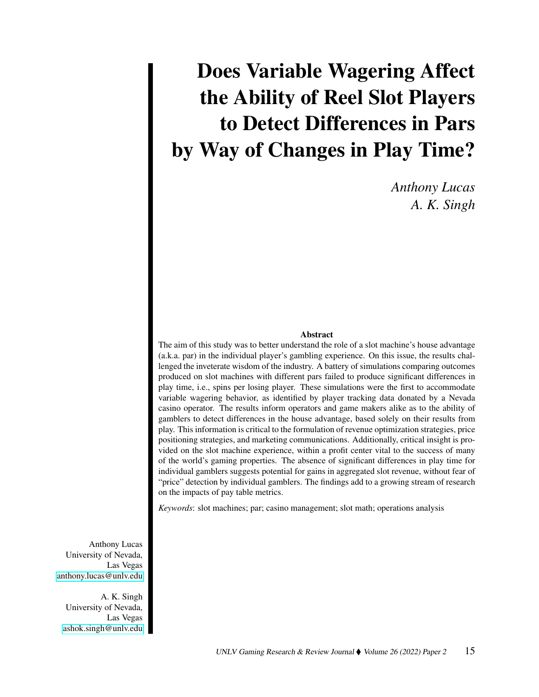# Does Variable Wagering Affect the Ability of Reel Slot Players to Detect Differences in Pars by Way of Changes in Play Time?

*Anthony Lucas A. K. Singh*

#### Abstract

The aim of this study was to better understand the role of a slot machine's house advantage (a.k.a. par) in the individual player's gambling experience. On this issue, the results challenged the inveterate wisdom of the industry. A battery of simulations comparing outcomes produced on slot machines with different pars failed to produce significant differences in play time, i.e., spins per losing player. These simulations were the first to accommodate variable wagering behavior, as identified by player tracking data donated by a Nevada casino operator. The results inform operators and game makers alike as to the ability of gamblers to detect differences in the house advantage, based solely on their results from play. This information is critical to the formulation of revenue optimization strategies, price positioning strategies, and marketing communications. Additionally, critical insight is provided on the slot machine experience, within a profit center vital to the success of many of the world's gaming properties. The absence of significant differences in play time for individual gamblers suggests potential for gains in aggregated slot revenue, without fear of "price" detection by individual gamblers. The findings add to a growing stream of research on the impacts of pay table metrics.

*Keywords*: slot machines; par; casino management; slot math; operations analysis

Anthony Lucas University of Nevada, Las Vegas [anthony.lucas@unlv.edu](mailto:anthony.lucas@unlv.edu)

A. K. Singh University of Nevada, Las Vegas [ashok.singh@unlv.edu](mailto:ashok.singh@unlv.edu)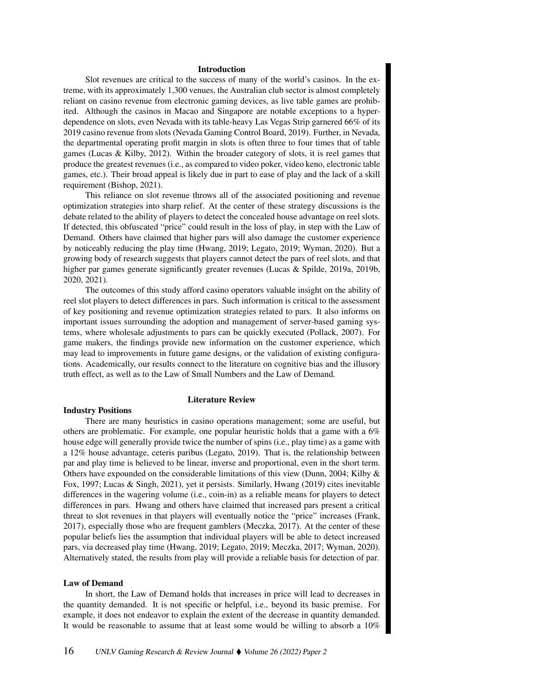#### Introduction

Slot revenues are critical to the success of many of the world's casinos. In the extreme, with its approximately 1,300 venues, the Australian club sector is almost completely reliant on casino revenue from electronic gaming devices, as live table games are prohibited. Although the casinos in Macao and Singapore are notable exceptions to a hyperdependence on slots, even Nevada with its table-heavy Las Vegas Strip garnered 66% of its 2019 casino revenue from slots (Nevada Gaming Control Board, 2019). Further, in Nevada, the departmental operating profit margin in slots is often three to four times that of table games (Lucas & Kilby, 2012). Within the broader category of slots, it is reel games that produce the greatest revenues (i.e., as compared to video poker, video keno, electronic table games, etc.). Their broad appeal is likely due in part to ease of play and the lack of a skill requirement (Bishop, 2021).

This reliance on slot revenue throws all of the associated positioning and revenue optimization strategies into sharp relief. At the center of these strategy discussions is the debate related to the ability of players to detect the concealed house advantage on reel slots. If detected, this obfuscated "price" could result in the loss of play, in step with the Law of Demand. Others have claimed that higher pars will also damage the customer experience by noticeably reducing the play time (Hwang, 2019; Legato, 2019; Wyman, 2020). But a growing body of research suggests that players cannot detect the pars of reel slots, and that higher par games generate significantly greater revenues (Lucas & Spilde, 2019a, 2019b, 2020, 2021).

The outcomes of this study afford casino operators valuable insight on the ability of reel slot players to detect differences in pars. Such information is critical to the assessment of key positioning and revenue optimization strategies related to pars. It also informs on important issues surrounding the adoption and management of server-based gaming systems, where wholesale adjustments to pars can be quickly executed (Pollack, 2007). For game makers, the findings provide new information on the customer experience, which may lead to improvements in future game designs, or the validation of existing configurations. Academically, our results connect to the literature on cognitive bias and the illusory truth effect, as well as to the Law of Small Numbers and the Law of Demand.

#### Industry Positions

## Literature Review

There are many heuristics in casino operations management; some are useful, but others are problematic. For example, one popular heuristic holds that a game with a 6% house edge will generally provide twice the number of spins (i.e., play time) as a game with a 12% house advantage, ceteris paribus (Legato, 2019). That is, the relationship between par and play time is believed to be linear, inverse and proportional, even in the short term. Others have expounded on the considerable limitations of this view (Dunn, 2004; Kilby & Fox, 1997; Lucas & Singh, 2021), yet it persists. Similarly, Hwang (2019) cites inevitable differences in the wagering volume (i.e., coin-in) as a reliable means for players to detect differences in pars. Hwang and others have claimed that increased pars present a critical threat to slot revenues in that players will eventually notice the "price" increases (Frank, 2017), especially those who are frequent gamblers (Meczka, 2017). At the center of these popular beliefs lies the assumption that individual players will be able to detect increased pars, via decreased play time (Hwang, 2019; Legato, 2019; Meczka, 2017; Wyman, 2020). Alternatively stated, the results from play will provide a reliable basis for detection of par.

#### Law of Demand

In short, the Law of Demand holds that increases in price will lead to decreases in the quantity demanded. It is not specific or helpful, i.e., beyond its basic premise. For example, it does not endeavor to explain the extent of the decrease in quantity demanded. It would be reasonable to assume that at least some would be willing to absorb a 10%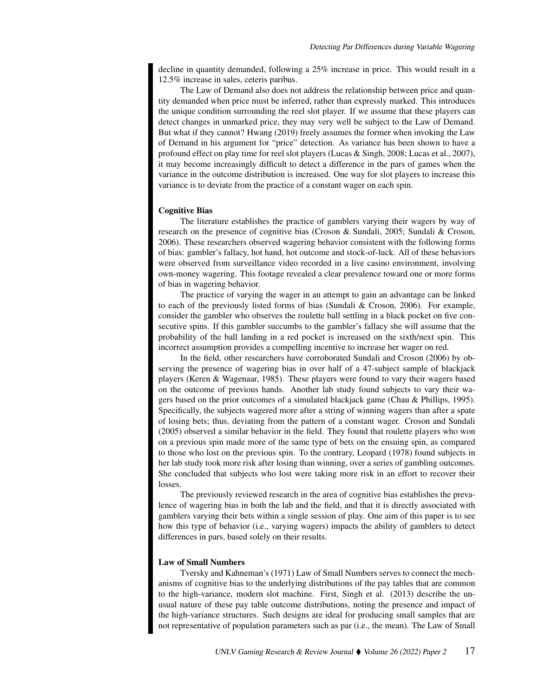decline in quantity demanded, following a 25% increase in price. This would result in a 12.5% increase in sales, ceteris paribus.

The Law of Demand also does not address the relationship between price and quantity demanded when price must be inferred, rather than expressly marked. This introduces the unique condition surrounding the reel slot player. If we assume that these players can detect changes in unmarked price, they may very well be subject to the Law of Demand. But what if they cannot? Hwang (2019) freely assumes the former when invoking the Law of Demand in his argument for "price" detection. As variance has been shown to have a profound effect on play time for reel slot players (Lucas & Singh, 2008; Lucas et al., 2007), it may become increasingly difficult to detect a difference in the pars of games when the variance in the outcome distribution is increased. One way for slot players to increase this variance is to deviate from the practice of a constant wager on each spin.

## Cognitive Bias

The literature establishes the practice of gamblers varying their wagers by way of research on the presence of cognitive bias (Croson & Sundali, 2005; Sundali & Croson, 2006). These researchers observed wagering behavior consistent with the following forms of bias: gambler's fallacy, hot hand, hot outcome and stock-of-luck. All of these behaviors were observed from surveillance video recorded in a live casino environment, involving own-money wagering. This footage revealed a clear prevalence toward one or more forms of bias in wagering behavior.

The practice of varying the wager in an attempt to gain an advantage can be linked to each of the previously listed forms of bias (Sundali  $& Croson, 2006$ ). For example, consider the gambler who observes the roulette ball settling in a black pocket on five consecutive spins. If this gambler succumbs to the gambler's fallacy she will assume that the probability of the ball landing in a red pocket is increased on the sixth/next spin. This incorrect assumption provides a compelling incentive to increase her wager on red.

In the field, other researchers have corroborated Sundali and Croson (2006) by observing the presence of wagering bias in over half of a 47-subject sample of blackjack players (Keren & Wagenaar, 1985). These players were found to vary their wagers based on the outcome of previous hands. Another lab study found subjects to vary their wagers based on the prior outcomes of a simulated blackjack game (Chau & Phillips, 1995). Specifically, the subjects wagered more after a string of winning wagers than after a spate of losing bets; thus, deviating from the pattern of a constant wager. Croson and Sundali (2005) observed a similar behavior in the field. They found that roulette players who won on a previous spin made more of the same type of bets on the ensuing spin, as compared to those who lost on the previous spin. To the contrary, Leopard (1978) found subjects in her lab study took more risk after losing than winning, over a series of gambling outcomes. She concluded that subjects who lost were taking more risk in an effort to recover their losses.

The previously reviewed research in the area of cognitive bias establishes the prevalence of wagering bias in both the lab and the field, and that it is directly associated with gamblers varying their bets within a single session of play. One aim of this paper is to see how this type of behavior (i.e., varying wagers) impacts the ability of gamblers to detect differences in pars, based solely on their results.

#### Law of Small Numbers

Tversky and Kahneman's (1971) Law of Small Numbers serves to connect the mechanisms of cognitive bias to the underlying distributions of the pay tables that are common to the high-variance, modern slot machine. First, Singh et al. (2013) describe the unusual nature of these pay table outcome distributions, noting the presence and impact of the high-variance structures. Such designs are ideal for producing small samples that are not representative of population parameters such as par (i.e., the mean). The Law of Small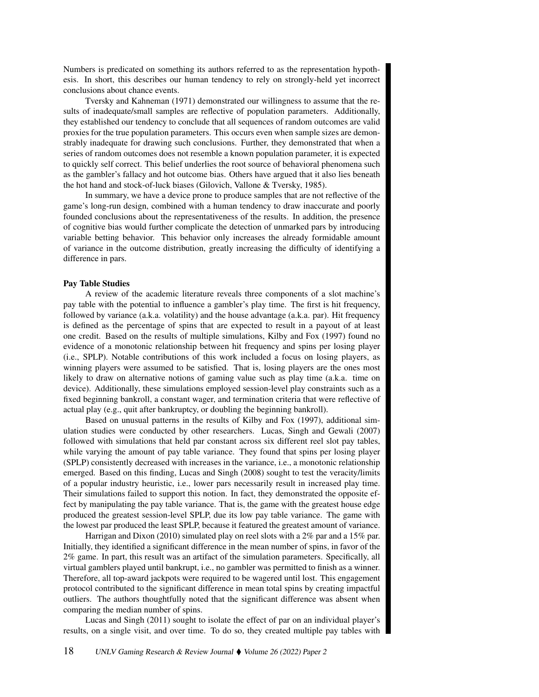Numbers is predicated on something its authors referred to as the representation hypothesis. In short, this describes our human tendency to rely on strongly-held yet incorrect conclusions about chance events.

Tversky and Kahneman (1971) demonstrated our willingness to assume that the results of inadequate/small samples are reflective of population parameters. Additionally, they established our tendency to conclude that all sequences of random outcomes are valid proxies for the true population parameters. This occurs even when sample sizes are demonstrably inadequate for drawing such conclusions. Further, they demonstrated that when a series of random outcomes does not resemble a known population parameter, it is expected to quickly self correct. This belief underlies the root source of behavioral phenomena such as the gambler's fallacy and hot outcome bias. Others have argued that it also lies beneath the hot hand and stock-of-luck biases (Gilovich, Vallone & Tversky, 1985).

In summary, we have a device prone to produce samples that are not reflective of the game's long-run design, combined with a human tendency to draw inaccurate and poorly founded conclusions about the representativeness of the results. In addition, the presence of cognitive bias would further complicate the detection of unmarked pars by introducing variable betting behavior. This behavior only increases the already formidable amount of variance in the outcome distribution, greatly increasing the difficulty of identifying a difference in pars.

#### Pay Table Studies

A review of the academic literature reveals three components of a slot machine's pay table with the potential to influence a gambler's play time. The first is hit frequency, followed by variance (a.k.a. volatility) and the house advantage (a.k.a. par). Hit frequency is defined as the percentage of spins that are expected to result in a payout of at least one credit. Based on the results of multiple simulations, Kilby and Fox (1997) found no evidence of a monotonic relationship between hit frequency and spins per losing player (i.e., SPLP). Notable contributions of this work included a focus on losing players, as winning players were assumed to be satisfied. That is, losing players are the ones most likely to draw on alternative notions of gaming value such as play time (a.k.a. time on device). Additionally, these simulations employed session-level play constraints such as a fixed beginning bankroll, a constant wager, and termination criteria that were reflective of actual play (e.g., quit after bankruptcy, or doubling the beginning bankroll).

Based on unusual patterns in the results of Kilby and Fox (1997), additional simulation studies were conducted by other researchers. Lucas, Singh and Gewali (2007) followed with simulations that held par constant across six different reel slot pay tables, while varying the amount of pay table variance. They found that spins per losing player (SPLP) consistently decreased with increases in the variance, i.e., a monotonic relationship emerged. Based on this finding, Lucas and Singh (2008) sought to test the veracity/limits of a popular industry heuristic, i.e., lower pars necessarily result in increased play time. Their simulations failed to support this notion. In fact, they demonstrated the opposite effect by manipulating the pay table variance. That is, the game with the greatest house edge produced the greatest session-level SPLP, due its low pay table variance. The game with the lowest par produced the least SPLP, because it featured the greatest amount of variance.

Harrigan and Dixon (2010) simulated play on reel slots with a 2% par and a 15% par. Initially, they identified a significant difference in the mean number of spins, in favor of the 2% game. In part, this result was an artifact of the simulation parameters. Specifically, all virtual gamblers played until bankrupt, i.e., no gambler was permitted to finish as a winner. Therefore, all top-award jackpots were required to be wagered until lost. This engagement protocol contributed to the significant difference in mean total spins by creating impactful outliers. The authors thoughtfully noted that the significant difference was absent when comparing the median number of spins.

Lucas and Singh (2011) sought to isolate the effect of par on an individual player's results, on a single visit, and over time. To do so, they created multiple pay tables with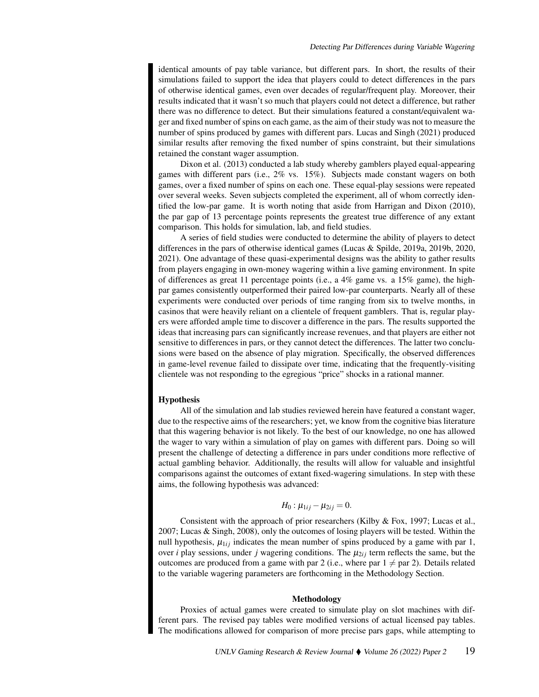identical amounts of pay table variance, but different pars. In short, the results of their simulations failed to support the idea that players could to detect differences in the pars of otherwise identical games, even over decades of regular/frequent play. Moreover, their results indicated that it wasn't so much that players could not detect a difference, but rather there was no difference to detect. But their simulations featured a constant/equivalent wager and fixed number of spins on each game, as the aim of their study was not to measure the number of spins produced by games with different pars. Lucas and Singh (2021) produced similar results after removing the fixed number of spins constraint, but their simulations retained the constant wager assumption.

Dixon et al. (2013) conducted a lab study whereby gamblers played equal-appearing games with different pars (i.e., 2% vs. 15%). Subjects made constant wagers on both games, over a fixed number of spins on each one. These equal-play sessions were repeated over several weeks. Seven subjects completed the experiment, all of whom correctly identified the low-par game. It is worth noting that aside from Harrigan and Dixon (2010), the par gap of 13 percentage points represents the greatest true difference of any extant comparison. This holds for simulation, lab, and field studies.

A series of field studies were conducted to determine the ability of players to detect differences in the pars of otherwise identical games (Lucas & Spilde, 2019a, 2019b, 2020, 2021). One advantage of these quasi-experimental designs was the ability to gather results from players engaging in own-money wagering within a live gaming environment. In spite of differences as great 11 percentage points (i.e., a 4% game vs. a 15% game), the highpar games consistently outperformed their paired low-par counterparts. Nearly all of these experiments were conducted over periods of time ranging from six to twelve months, in casinos that were heavily reliant on a clientele of frequent gamblers. That is, regular players were afforded ample time to discover a difference in the pars. The results supported the ideas that increasing pars can significantly increase revenues, and that players are either not sensitive to differences in pars, or they cannot detect the differences. The latter two conclusions were based on the absence of play migration. Specifically, the observed differences in game-level revenue failed to dissipate over time, indicating that the frequently-visiting clientele was not responding to the egregious "price" shocks in a rational manner.

#### **Hypothesis**

All of the simulation and lab studies reviewed herein have featured a constant wager, due to the respective aims of the researchers; yet, we know from the cognitive bias literature that this wagering behavior is not likely. To the best of our knowledge, no one has allowed the wager to vary within a simulation of play on games with different pars. Doing so will present the challenge of detecting a difference in pars under conditions more reflective of actual gambling behavior. Additionally, the results will allow for valuable and insightful comparisons against the outcomes of extant fixed-wagering simulations. In step with these aims, the following hypothesis was advanced:

$$
H_0: \mu_{1ij}-\mu_{2ij}=0.
$$

Consistent with the approach of prior researchers (Kilby  $\&$  Fox, 1997; Lucas et al., 2007; Lucas & Singh, 2008), only the outcomes of losing players will be tested. Within the null hypothesis,  $\mu_{1ij}$  indicates the mean number of spins produced by a game with par 1, over *i* play sessions, under *j* wagering conditions. The  $\mu_{2i}$  term reflects the same, but the outcomes are produced from a game with par 2 (i.e., where par  $1 \neq$  par 2). Details related to the variable wagering parameters are forthcoming in the Methodology Section.

#### Methodology

Proxies of actual games were created to simulate play on slot machines with different pars. The revised pay tables were modified versions of actual licensed pay tables. The modifications allowed for comparison of more precise pars gaps, while attempting to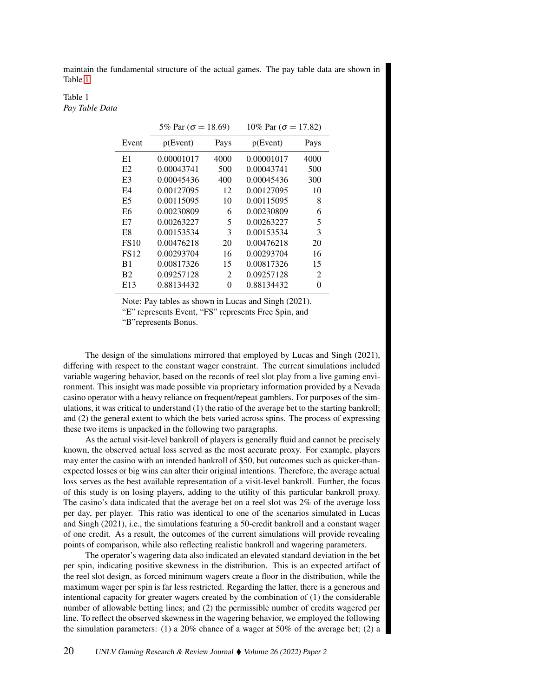maintain the fundamental structure of the actual games. The pay table data are shown in Table [1.](#page-5-0)

# <span id="page-5-0"></span>Table 1 *Pay Table Data*

|            |                | 10% Par ( $\sigma$ = 17.82) |                |  |
|------------|----------------|-----------------------------|----------------|--|
| p(Event)   | Pays           | p(Event)                    | Pays           |  |
| 0.00001017 | 4000           | 0.00001017                  | 4000           |  |
| 0.00043741 | 500            | 0.00043741                  | 500            |  |
| 0.00045436 | 400            | 0.00045436                  | 300            |  |
| 0.00127095 | 12             | 0.00127095                  | 10             |  |
| 0.00115095 | 10             | 0.00115095                  | 8              |  |
| 0.00230809 | 6              | 0.00230809                  | 6              |  |
| 0.00263227 | 5              | 0.00263227                  | 5              |  |
| 0.00153534 | 3              | 0.00153534                  | 3              |  |
| 0.00476218 | 20             | 0.00476218                  | 20             |  |
| 0.00293704 | 16             | 0.00293704                  | 16             |  |
| 0.00817326 | 15             | 0.00817326                  | 15             |  |
| 0.09257128 | $\mathfrak{D}$ | 0.09257128                  | $\mathfrak{D}$ |  |
| 0.88134432 | 0              | 0.88134432                  | 0              |  |
|            |                | 5% Par ( $\sigma$ = 18.69)  |                |  |

Note: Pay tables as shown in Lucas and Singh (2021).

"E" represents Event, "FS" represents Free Spin, and

"B"represents Bonus.

The design of the simulations mirrored that employed by Lucas and Singh (2021), differing with respect to the constant wager constraint. The current simulations included variable wagering behavior, based on the records of reel slot play from a live gaming environment. This insight was made possible via proprietary information provided by a Nevada casino operator with a heavy reliance on frequent/repeat gamblers. For purposes of the simulations, it was critical to understand (1) the ratio of the average bet to the starting bankroll; and (2) the general extent to which the bets varied across spins. The process of expressing these two items is unpacked in the following two paragraphs.

As the actual visit-level bankroll of players is generally fluid and cannot be precisely known, the observed actual loss served as the most accurate proxy. For example, players may enter the casino with an intended bankroll of \$50, but outcomes such as quicker-thanexpected losses or big wins can alter their original intentions. Therefore, the average actual loss serves as the best available representation of a visit-level bankroll. Further, the focus of this study is on losing players, adding to the utility of this particular bankroll proxy. The casino's data indicated that the average bet on a reel slot was 2% of the average loss per day, per player. This ratio was identical to one of the scenarios simulated in Lucas and Singh (2021), i.e., the simulations featuring a 50-credit bankroll and a constant wager of one credit. As a result, the outcomes of the current simulations will provide revealing points of comparison, while also reflecting realistic bankroll and wagering parameters.

The operator's wagering data also indicated an elevated standard deviation in the bet per spin, indicating positive skewness in the distribution. This is an expected artifact of the reel slot design, as forced minimum wagers create a floor in the distribution, while the maximum wager per spin is far less restricted. Regarding the latter, there is a generous and intentional capacity for greater wagers created by the combination of (1) the considerable number of allowable betting lines; and (2) the permissible number of credits wagered per line. To reflect the observed skewness in the wagering behavior, we employed the following the simulation parameters: (1) a  $20\%$  chance of a wager at 50% of the average bet; (2) a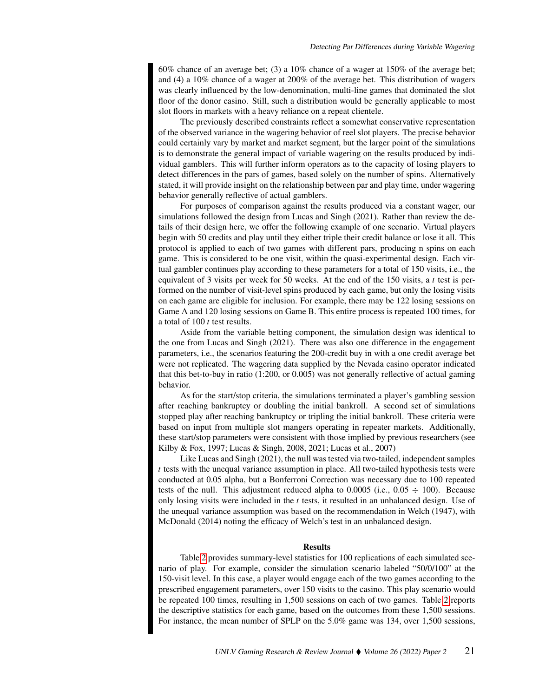60% chance of an average bet; (3) a 10% chance of a wager at 150% of the average bet; and (4) a 10% chance of a wager at 200% of the average bet. This distribution of wagers was clearly influenced by the low-denomination, multi-line games that dominated the slot floor of the donor casino. Still, such a distribution would be generally applicable to most slot floors in markets with a heavy reliance on a repeat clientele.

The previously described constraints reflect a somewhat conservative representation of the observed variance in the wagering behavior of reel slot players. The precise behavior could certainly vary by market and market segment, but the larger point of the simulations is to demonstrate the general impact of variable wagering on the results produced by individual gamblers. This will further inform operators as to the capacity of losing players to detect differences in the pars of games, based solely on the number of spins. Alternatively stated, it will provide insight on the relationship between par and play time, under wagering behavior generally reflective of actual gamblers.

For purposes of comparison against the results produced via a constant wager, our simulations followed the design from Lucas and Singh (2021). Rather than review the details of their design here, we offer the following example of one scenario. Virtual players begin with 50 credits and play until they either triple their credit balance or lose it all. This protocol is applied to each of two games with different pars, producing n spins on each game. This is considered to be one visit, within the quasi-experimental design. Each virtual gambler continues play according to these parameters for a total of 150 visits, i.e., the equivalent of 3 visits per week for 50 weeks. At the end of the 150 visits, a *t* test is performed on the number of visit-level spins produced by each game, but only the losing visits on each game are eligible for inclusion. For example, there may be 122 losing sessions on Game A and 120 losing sessions on Game B. This entire process is repeated 100 times, for a total of 100 *t* test results.

Aside from the variable betting component, the simulation design was identical to the one from Lucas and Singh (2021). There was also one difference in the engagement parameters, i.e., the scenarios featuring the 200-credit buy in with a one credit average bet were not replicated. The wagering data supplied by the Nevada casino operator indicated that this bet-to-buy in ratio (1:200, or 0.005) was not generally reflective of actual gaming behavior.

As for the start/stop criteria, the simulations terminated a player's gambling session after reaching bankruptcy or doubling the initial bankroll. A second set of simulations stopped play after reaching bankruptcy or tripling the initial bankroll. These criteria were based on input from multiple slot mangers operating in repeater markets. Additionally, these start/stop parameters were consistent with those implied by previous researchers (see Kilby & Fox, 1997; Lucas & Singh, 2008, 2021; Lucas et al., 2007)

Like Lucas and Singh (2021), the null was tested via two-tailed, independent samples *t* tests with the unequal variance assumption in place. All two-tailed hypothesis tests were conducted at 0.05 alpha, but a Bonferroni Correction was necessary due to 100 repeated tests of the null. This adjustment reduced alpha to 0.0005 (i.e.,  $0.05 \div 100$ ). Because only losing visits were included in the *t* tests, it resulted in an unbalanced design. Use of the unequal variance assumption was based on the recommendation in Welch (1947), with McDonald (2014) noting the efficacy of Welch's test in an unbalanced design.

## Results

Table [2](#page-7-0) provides summary-level statistics for 100 replications of each simulated scenario of play. For example, consider the simulation scenario labeled "50/0/100" at the 150-visit level. In this case, a player would engage each of the two games according to the prescribed engagement parameters, over 150 visits to the casino. This play scenario would be repeated 100 times, resulting in 1,500 sessions on each of two games. Table [2](#page-7-0) reports the descriptive statistics for each game, based on the outcomes from these 1,500 sessions. For instance, the mean number of SPLP on the 5.0% game was 134, over 1,500 sessions,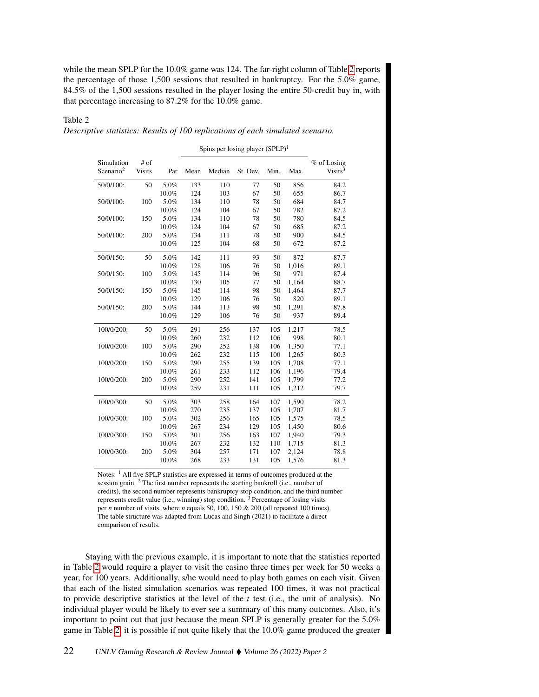while the mean SPLP for the 10.0% game was 124. The far-right column of Table [2](#page-7-0) reports the percentage of those 1,500 sessions that resulted in bankruptcy. For the 5.0% game, 84.5% of the 1,500 sessions resulted in the player losing the entire 50-credit buy in, with that percentage increasing to 87.2% for the 10.0% game.

# <span id="page-7-0"></span>Table 2 *Descriptive statistics: Results of 100 replications of each simulated scenario.*

Spins per losing player  $(SPLP)^1$ 

| Simulation            | # of          |       |      |        |          |      |       | $%$ of Losing       |
|-----------------------|---------------|-------|------|--------|----------|------|-------|---------------------|
| Scenario <sup>2</sup> | <b>Visits</b> | Par   | Mean | Median | St. Dev. | Min. | Max.  | Visits <sup>3</sup> |
| 50/0/100:             | 50            | 5.0%  | 133  | 110    | 77       | 50   | 856   | 84.2                |
|                       |               | 10.0% | 124  | 103    | 67       | 50   | 655   | 86.7                |
| 50/0/100:             | 100           | 5.0%  | 134  | 110    | 78       | 50   | 684   | 84.7                |
|                       |               | 10.0% | 124  | 104    | 67       | 50   | 782   | 87.2                |
| 50/0/100:             | 150           | 5.0%  | 134  | 110    | 78       | 50   | 780   | 84.5                |
|                       |               | 10.0% | 124  | 104    | 67       | 50   | 685   | 87.2                |
| 50/0/100:             | 200           | 5.0%  | 134  | 111    | 78       | 50   | 900   | 84.5                |
|                       |               | 10.0% | 125  | 104    | 68       | 50   | 672   | 87.2                |
| 50/0/150:             | 50            | 5.0%  | 142  | 111    | 93       | 50   | 872   | 87.7                |
|                       |               | 10.0% | 128  | 106    | 76       | 50   | 1,016 | 89.1                |
| 50/0/150:             | 100           | 5.0%  | 145  | 114    | 96       | 50   | 971   | 87.4                |
|                       |               | 10.0% | 130  | 105    | 77       | 50   | 1,164 | 88.7                |
| 50/0/150:             | 150           | 5.0%  | 145  | 114    | 98       | 50   | 1,464 | 87.7                |
|                       |               | 10.0% | 129  | 106    | 76       | 50   | 820   | 89.1                |
| 50/0/150:             | 200           | 5.0%  | 144  | 113    | 98       | 50   | 1,291 | 87.8                |
|                       |               | 10.0% | 129  | 106    | 76       | 50   | 937   | 89.4                |
| 100/0/200:            | 50            | 5.0%  | 291  | 256    | 137      | 105  | 1,217 | 78.5                |
|                       |               | 10.0% | 260  | 232    | 112      | 106  | 998   | 80.1                |
| 100/0/200:            | 100           | 5.0%  | 290  | 252    | 138      | 106  | 1,350 | 77.1                |
|                       |               | 10.0% | 262  | 232    | 115      | 100  | 1,265 | 80.3                |
| 100/0/200:            | 150           | 5.0%  | 290  | 255    | 139      | 105  | 1,708 | 77.1                |
|                       |               | 10.0% | 261  | 233    | 112      | 106  | 1,196 | 79.4                |
| 100/0/200:            | 200           | 5.0%  | 290  | 252    | 141      | 105  | 1,799 | 77.2                |
|                       |               | 10.0% | 259  | 231    | 111      | 105  | 1,212 | 79.7                |
| 100/0/300:            | 50            | 5.0%  | 303  | 258    | 164      | 107  | 1,590 | 78.2                |
|                       |               | 10.0% | 270  | 235    | 137      | 105  | 1,707 | 81.7                |
| 100/0/300:            | 100           | 5.0%  | 302  | 256    | 165      | 105  | 1,575 | 78.5                |
|                       |               | 10.0% | 267  | 234    | 129      | 105  | 1,450 | 80.6                |
| 100/0/300:            | 150           | 5.0%  | 301  | 256    | 163      | 107  | 1,940 | 79.3                |
|                       |               | 10.0% | 267  | 232    | 132      | 110  | 1,715 | 81.3                |
| 100/0/300:            | 200           | 5.0%  | 304  | 257    | 171      | 107  | 2,124 | 78.8                |
|                       |               | 10.0% | 268  | 233    | 131      | 105  | 1.576 | 81.3                |

Notes: <sup>1</sup> All five SPLP statistics are expressed in terms of outcomes produced at the session grain. <sup>2</sup> The first number represents the starting bankroll (i.e., number of credits), the second number represents bankruptcy stop condition, and the third number represents credit value (i.e., winning) stop condition.  $3$  Percentage of losing visits per *n* number of visits, where *n* equals 50, 100, 150 & 200 (all repeated 100 times). The table structure was adapted from Lucas and Singh (2021) to facilitate a direct comparison of results.

Staying with the previous example, it is important to note that the statistics reported in Table [2](#page-7-0) would require a player to visit the casino three times per week for 50 weeks a year, for 100 years. Additionally, s/he would need to play both games on each visit. Given that each of the listed simulation scenarios was repeated 100 times, it was not practical to provide descriptive statistics at the level of the *t* test (i.e., the unit of analysis). No individual player would be likely to ever see a summary of this many outcomes. Also, it's important to point out that just because the mean SPLP is generally greater for the 5.0% game in Table [2,](#page-7-0) it is possible if not quite likely that the 10.0% game produced the greater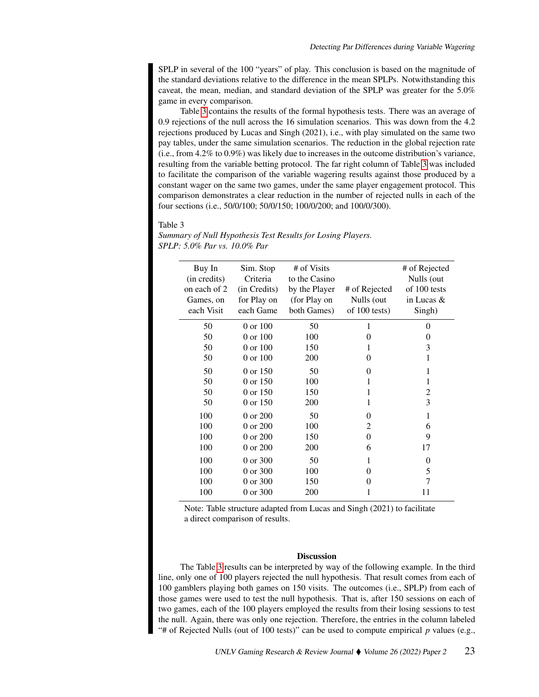SPLP in several of the 100 "years" of play. This conclusion is based on the magnitude of the standard deviations relative to the difference in the mean SPLPs. Notwithstanding this caveat, the mean, median, and standard deviation of the SPLP was greater for the 5.0% game in every comparison.

Table [3](#page-8-0) contains the results of the formal hypothesis tests. There was an average of 0.9 rejections of the null across the 16 simulation scenarios. This was down from the 4.2 rejections produced by Lucas and Singh (2021), i.e., with play simulated on the same two pay tables, under the same simulation scenarios. The reduction in the global rejection rate (i.e., from 4.2% to 0.9%) was likely due to increases in the outcome distribution's variance, resulting from the variable betting protocol. The far right column of Table [3](#page-8-0) was included to facilitate the comparison of the variable wagering results against those produced by a constant wager on the same two games, under the same player engagement protocol. This comparison demonstrates a clear reduction in the number of rejected nulls in each of the four sections (i.e., 50/0/100; 50/0/150; 100/0/200; and 100/0/300).

#### <span id="page-8-0"></span>Table 3

| Buy In<br>(in credits) | Sim. Stop<br>Criteria | # of Visits<br>to the Casino |               | # of Rejected<br>Nulls (out |
|------------------------|-----------------------|------------------------------|---------------|-----------------------------|
| on each of 2           | (in Credits)          | by the Player                | # of Rejected | of 100 tests                |
| Games, on              | for Play on           | (for Play on                 | Nulls (out    | in Lucas $\&$               |
| each Visit             | each Game             | both Games)                  | of 100 tests) | Singh)                      |
|                        |                       |                              |               |                             |
| 50                     | 0 or 100              | 50                           | 1             | $\Omega$                    |
| 50                     | 0 or 100              | 100                          | 0             | 0                           |
| 50                     | 0 or 100              | 150                          |               | 3                           |
| 50                     | 0 or 100              | 200                          | $\Omega$      |                             |
| 50                     | 0 or 150              | 50                           | $\Omega$      | 1                           |
| 50                     | 0 or 150              | 100                          |               | 1                           |
| 50                     | 0 or 150              | 150                          |               | $\overline{c}$              |
| 50                     | 0 or 150              | 200                          | 1             | 3                           |
| 100                    | 0 or 200              | 50                           | 0             | 1                           |
| 100                    | 0 or 200              | 100                          | 2             | 6                           |
| 100                    | 0 or 200              | 150                          | 0             | 9                           |
| 100                    | 0 or 200              | <b>200</b>                   | 6             | 17                          |
| 100                    | 0 or 300              | 50                           | 1             | 0                           |
| 100                    | 0 or 300              | 100                          | 0             | 5                           |
| 100                    | 0 or 300              | 150                          | 0             | 7                           |
| 100                    | 0 or 300              | 200                          | 1             | 11                          |

*Summary of Null Hypothesis Test Results for Losing Players. SPLP: 5.0% Par vs. 10.0% Par*

Note: Table structure adapted from Lucas and Singh (2021) to facilitate a direct comparison of results.

## **Discussion**

The Table [3](#page-8-0) results can be interpreted by way of the following example. In the third line, only one of 100 players rejected the null hypothesis. That result comes from each of 100 gamblers playing both games on 150 visits. The outcomes (i.e., SPLP) from each of those games were used to test the null hypothesis. That is, after 150 sessions on each of two games, each of the 100 players employed the results from their losing sessions to test the null. Again, there was only one rejection. Therefore, the entries in the column labeled "# of Rejected Nulls (out of 100 tests)" can be used to compute empirical  $p$  values (e.g.,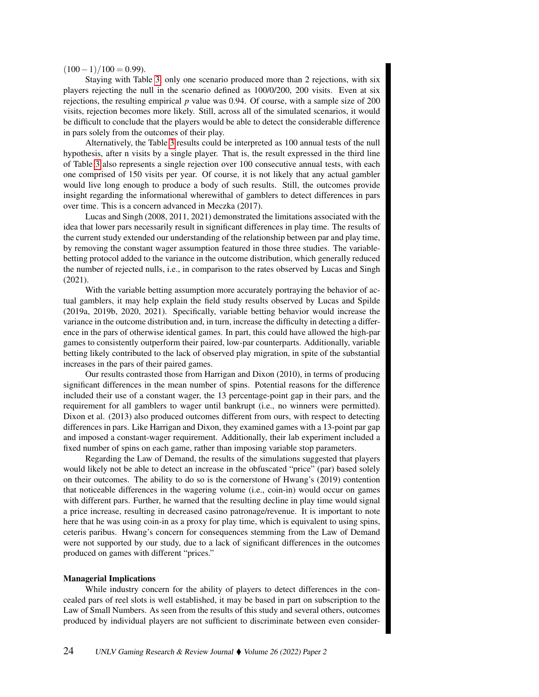$(100-1)/100 = 0.99$ ).

Staying with Table [3,](#page-8-0) only one scenario produced more than 2 rejections, with six players rejecting the null in the scenario defined as 100/0/200, 200 visits. Even at six rejections, the resulting empirical *p* value was 0.94. Of course, with a sample size of 200 visits, rejection becomes more likely. Still, across all of the simulated scenarios, it would be difficult to conclude that the players would be able to detect the considerable difference in pars solely from the outcomes of their play.

Alternatively, the Table [3](#page-8-0) results could be interpreted as 100 annual tests of the null hypothesis, after n visits by a single player. That is, the result expressed in the third line of Table [3](#page-8-0) also represents a single rejection over 100 consecutive annual tests, with each one comprised of 150 visits per year. Of course, it is not likely that any actual gambler would live long enough to produce a body of such results. Still, the outcomes provide insight regarding the informational wherewithal of gamblers to detect differences in pars over time. This is a concern advanced in Meczka (2017).

Lucas and Singh (2008, 2011, 2021) demonstrated the limitations associated with the idea that lower pars necessarily result in significant differences in play time. The results of the current study extended our understanding of the relationship between par and play time, by removing the constant wager assumption featured in those three studies. The variablebetting protocol added to the variance in the outcome distribution, which generally reduced the number of rejected nulls, i.e., in comparison to the rates observed by Lucas and Singh (2021).

With the variable betting assumption more accurately portraying the behavior of actual gamblers, it may help explain the field study results observed by Lucas and Spilde (2019a, 2019b, 2020, 2021). Specifically, variable betting behavior would increase the variance in the outcome distribution and, in turn, increase the difficulty in detecting a difference in the pars of otherwise identical games. In part, this could have allowed the high-par games to consistently outperform their paired, low-par counterparts. Additionally, variable betting likely contributed to the lack of observed play migration, in spite of the substantial increases in the pars of their paired games.

Our results contrasted those from Harrigan and Dixon (2010), in terms of producing significant differences in the mean number of spins. Potential reasons for the difference included their use of a constant wager, the 13 percentage-point gap in their pars, and the requirement for all gamblers to wager until bankrupt (i.e., no winners were permitted). Dixon et al. (2013) also produced outcomes different from ours, with respect to detecting differences in pars. Like Harrigan and Dixon, they examined games with a 13-point par gap and imposed a constant-wager requirement. Additionally, their lab experiment included a fixed number of spins on each game, rather than imposing variable stop parameters.

Regarding the Law of Demand, the results of the simulations suggested that players would likely not be able to detect an increase in the obfuscated "price" (par) based solely on their outcomes. The ability to do so is the cornerstone of Hwang's (2019) contention that noticeable differences in the wagering volume (i.e., coin-in) would occur on games with different pars. Further, he warned that the resulting decline in play time would signal a price increase, resulting in decreased casino patronage/revenue. It is important to note here that he was using coin-in as a proxy for play time, which is equivalent to using spins, ceteris paribus. Hwang's concern for consequences stemming from the Law of Demand were not supported by our study, due to a lack of significant differences in the outcomes produced on games with different "prices."

## Managerial Implications

While industry concern for the ability of players to detect differences in the concealed pars of reel slots is well established, it may be based in part on subscription to the Law of Small Numbers. As seen from the results of this study and several others, outcomes produced by individual players are not sufficient to discriminate between even consider-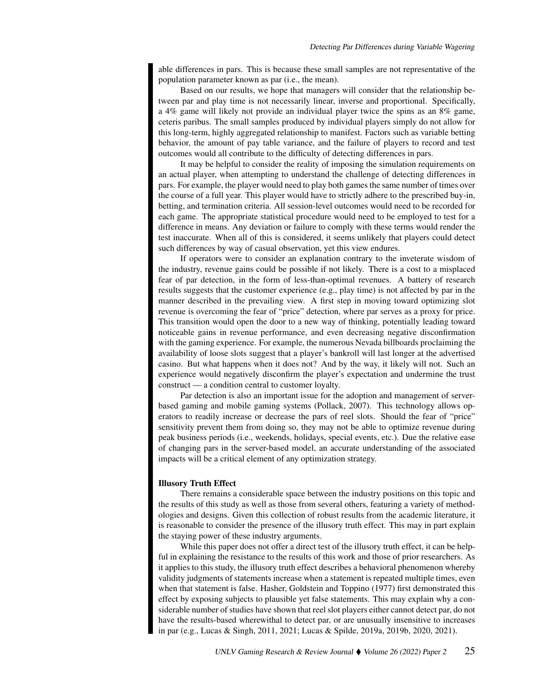able differences in pars. This is because these small samples are not representative of the population parameter known as par (i.e., the mean).

Based on our results, we hope that managers will consider that the relationship between par and play time is not necessarily linear, inverse and proportional. Specifically, a 4% game will likely not provide an individual player twice the spins as an 8% game, ceteris paribus. The small samples produced by individual players simply do not allow for this long-term, highly aggregated relationship to manifest. Factors such as variable betting behavior, the amount of pay table variance, and the failure of players to record and test outcomes would all contribute to the difficulty of detecting differences in pars.

It may be helpful to consider the reality of imposing the simulation requirements on an actual player, when attempting to understand the challenge of detecting differences in pars. For example, the player would need to play both games the same number of times over the course of a full year. This player would have to strictly adhere to the prescribed buy-in, betting, and termination criteria. All session-level outcomes would need to be recorded for each game. The appropriate statistical procedure would need to be employed to test for a difference in means. Any deviation or failure to comply with these terms would render the test inaccurate. When all of this is considered, it seems unlikely that players could detect such differences by way of casual observation, yet this view endures.

If operators were to consider an explanation contrary to the inveterate wisdom of the industry, revenue gains could be possible if not likely. There is a cost to a misplaced fear of par detection, in the form of less-than-optimal revenues. A battery of research results suggests that the customer experience (e.g., play time) is not affected by par in the manner described in the prevailing view. A first step in moving toward optimizing slot revenue is overcoming the fear of "price" detection, where par serves as a proxy for price. This transition would open the door to a new way of thinking, potentially leading toward noticeable gains in revenue performance, and even decreasing negative disconfirmation with the gaming experience. For example, the numerous Nevada billboards proclaiming the availability of loose slots suggest that a player's bankroll will last longer at the advertised casino. But what happens when it does not? And by the way, it likely will not. Such an experience would negatively disconfirm the player's expectation and undermine the trust construct — a condition central to customer loyalty.

Par detection is also an important issue for the adoption and management of serverbased gaming and mobile gaming systems (Pollack, 2007). This technology allows operators to readily increase or decrease the pars of reel slots. Should the fear of "price" sensitivity prevent them from doing so, they may not be able to optimize revenue during peak business periods (i.e., weekends, holidays, special events, etc.). Due the relative ease of changing pars in the server-based model, an accurate understanding of the associated impacts will be a critical element of any optimization strategy.

# Illusory Truth Effect

There remains a considerable space between the industry positions on this topic and the results of this study as well as those from several others, featuring a variety of methodologies and designs. Given this collection of robust results from the academic literature, it is reasonable to consider the presence of the illusory truth effect. This may in part explain the staying power of these industry arguments.

While this paper does not offer a direct test of the illusory truth effect, it can be helpful in explaining the resistance to the results of this work and those of prior researchers. As it applies to this study, the illusory truth effect describes a behavioral phenomenon whereby validity judgments of statements increase when a statement is repeated multiple times, even when that statement is false. Hasher, Goldstein and Toppino (1977) first demonstrated this effect by exposing subjects to plausible yet false statements. This may explain why a considerable number of studies have shown that reel slot players either cannot detect par, do not have the results-based wherewithal to detect par, or are unusually insensitive to increases in par (e.g., Lucas & Singh, 2011, 2021; Lucas & Spilde, 2019a, 2019b, 2020, 2021).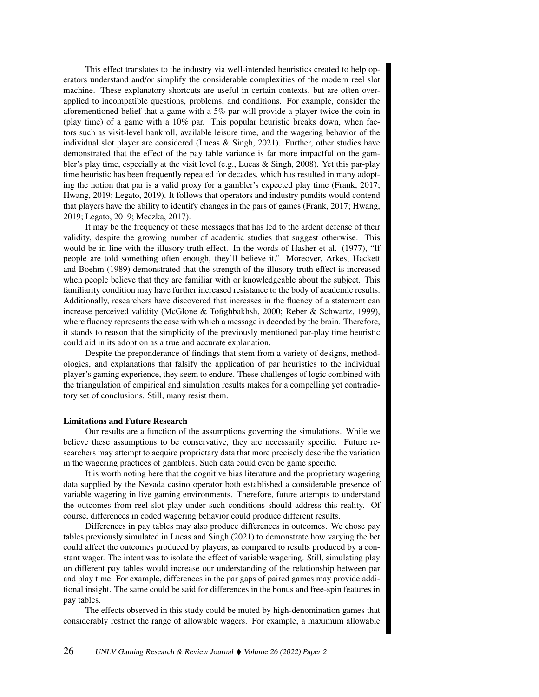This effect translates to the industry via well-intended heuristics created to help operators understand and/or simplify the considerable complexities of the modern reel slot machine. These explanatory shortcuts are useful in certain contexts, but are often overapplied to incompatible questions, problems, and conditions. For example, consider the aforementioned belief that a game with a 5% par will provide a player twice the coin-in (play time) of a game with a  $10\%$  par. This popular heuristic breaks down, when factors such as visit-level bankroll, available leisure time, and the wagering behavior of the individual slot player are considered (Lucas  $\&$  Singh, 2021). Further, other studies have demonstrated that the effect of the pay table variance is far more impactful on the gambler's play time, especially at the visit level (e.g., Lucas & Singh, 2008). Yet this par-play time heuristic has been frequently repeated for decades, which has resulted in many adopting the notion that par is a valid proxy for a gambler's expected play time (Frank, 2017; Hwang, 2019; Legato, 2019). It follows that operators and industry pundits would contend that players have the ability to identify changes in the pars of games (Frank, 2017; Hwang, 2019; Legato, 2019; Meczka, 2017).

It may be the frequency of these messages that has led to the ardent defense of their validity, despite the growing number of academic studies that suggest otherwise. This would be in line with the illusory truth effect. In the words of Hasher et al. (1977), "If people are told something often enough, they'll believe it." Moreover, Arkes, Hackett and Boehm (1989) demonstrated that the strength of the illusory truth effect is increased when people believe that they are familiar with or knowledgeable about the subject. This familiarity condition may have further increased resistance to the body of academic results. Additionally, researchers have discovered that increases in the fluency of a statement can increase perceived validity (McGlone & Tofighbakhsh, 2000; Reber & Schwartz, 1999), where fluency represents the ease with which a message is decoded by the brain. Therefore, it stands to reason that the simplicity of the previously mentioned par-play time heuristic could aid in its adoption as a true and accurate explanation.

Despite the preponderance of findings that stem from a variety of designs, methodologies, and explanations that falsify the application of par heuristics to the individual player's gaming experience, they seem to endure. These challenges of logic combined with the triangulation of empirical and simulation results makes for a compelling yet contradictory set of conclusions. Still, many resist them.

# Limitations and Future Research

Our results are a function of the assumptions governing the simulations. While we believe these assumptions to be conservative, they are necessarily specific. Future researchers may attempt to acquire proprietary data that more precisely describe the variation in the wagering practices of gamblers. Such data could even be game specific.

It is worth noting here that the cognitive bias literature and the proprietary wagering data supplied by the Nevada casino operator both established a considerable presence of variable wagering in live gaming environments. Therefore, future attempts to understand the outcomes from reel slot play under such conditions should address this reality. Of course, differences in coded wagering behavior could produce different results.

Differences in pay tables may also produce differences in outcomes. We chose pay tables previously simulated in Lucas and Singh (2021) to demonstrate how varying the bet could affect the outcomes produced by players, as compared to results produced by a constant wager. The intent was to isolate the effect of variable wagering. Still, simulating play on different pay tables would increase our understanding of the relationship between par and play time. For example, differences in the par gaps of paired games may provide additional insight. The same could be said for differences in the bonus and free-spin features in pay tables.

The effects observed in this study could be muted by high-denomination games that considerably restrict the range of allowable wagers. For example, a maximum allowable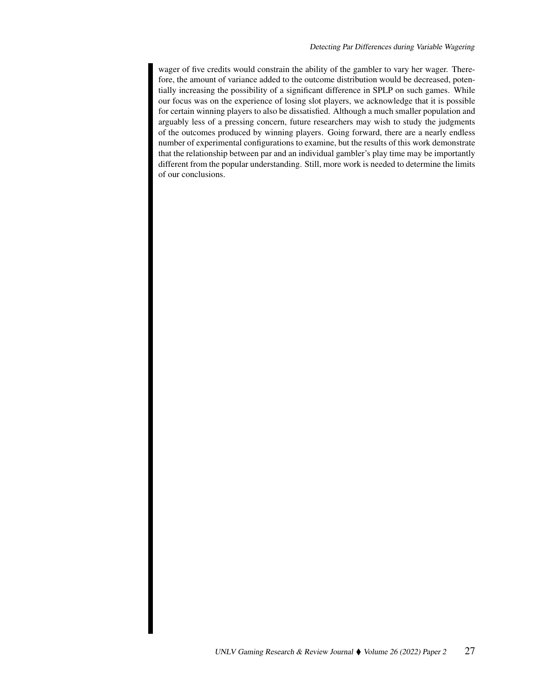wager of five credits would constrain the ability of the gambler to vary her wager. Therefore, the amount of variance added to the outcome distribution would be decreased, potentially increasing the possibility of a significant difference in SPLP on such games. While our focus was on the experience of losing slot players, we acknowledge that it is possible for certain winning players to also be dissatisfied. Although a much smaller population and arguably less of a pressing concern, future researchers may wish to study the judgments of the outcomes produced by winning players. Going forward, there are a nearly endless number of experimental configurations to examine, but the results of this work demonstrate that the relationship between par and an individual gambler's play time may be importantly different from the popular understanding. Still, more work is needed to determine the limits of our conclusions.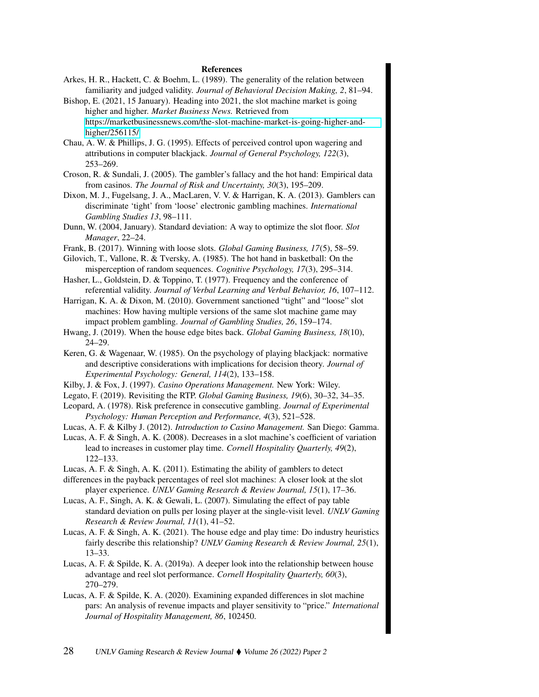#### References

- Arkes, H. R., Hackett, C. & Boehm, L. (1989). The generality of the relation between familiarity and judged validity. *Journal of Behavioral Decision Making, 2*, 81–94.
- Bishop, E. (2021, 15 January). Heading into 2021, the slot machine market is going higher and higher. *Market Business News.* Retrieved from [https://marketbusinessnews.com/the-slot-machine-market-is-going-higher-and](https://marketbusinessnews.com/the-slot-machine-market-is-going-higher-and-higher/256115/)[higher/256115/](https://marketbusinessnews.com/the-slot-machine-market-is-going-higher-and-higher/256115/)
- Chau, A. W. & Phillips, J. G. (1995). Effects of perceived control upon wagering and attributions in computer blackjack. *Journal of General Psychology, 122*(3), 253–269.
- Croson, R. & Sundali, J. (2005). The gambler's fallacy and the hot hand: Empirical data from casinos. *The Journal of Risk and Uncertainty, 30*(3), 195–209.
- Dixon, M. J., Fugelsang, J. A., MacLaren, V. V. & Harrigan, K. A. (2013). Gamblers can discriminate 'tight' from 'loose' electronic gambling machines. *International Gambling Studies 13*, 98–111.
- Dunn, W. (2004, January). Standard deviation: A way to optimize the slot floor. *Slot Manager*, 22–24.
- Frank, B. (2017). Winning with loose slots. *Global Gaming Business, 17*(5), 58–59.
- Gilovich, T., Vallone, R. & Tversky, A. (1985). The hot hand in basketball: On the misperception of random sequences. *Cognitive Psychology, 17*(3), 295–314.
- Hasher, L., Goldstein, D. & Toppino, T. (1977). Frequency and the conference of referential validity. *Journal of Verbal Learning and Verbal Behavior, 16*, 107–112.
- Harrigan, K. A. & Dixon, M. (2010). Government sanctioned "tight" and "loose" slot machines: How having multiple versions of the same slot machine game may impact problem gambling. *Journal of Gambling Studies, 26*, 159–174.
- Hwang, J. (2019). When the house edge bites back. *Global Gaming Business, 18*(10), 24–29.
- Keren, G. & Wagenaar, W. (1985). On the psychology of playing blackjack: normative and descriptive considerations with implications for decision theory. *Journal of Experimental Psychology: General, 114*(2), 133–158.
- Kilby, J. & Fox, J. (1997). *Casino Operations Management.* New York: Wiley.
- Legato, F. (2019). Revisiting the RTP. *Global Gaming Business, 19*(6), 30–32, 34–35.
- Leopard, A. (1978). Risk preference in consecutive gambling. *Journal of Experimental Psychology: Human Perception and Performance, 4*(3), 521–528.
- Lucas, A. F. & Kilby J. (2012). *Introduction to Casino Management.* San Diego: Gamma.
- Lucas, A. F. & Singh, A. K. (2008). Decreases in a slot machine's coefficient of variation lead to increases in customer play time. *Cornell Hospitality Quarterly, 49*(2), 122–133.
- Lucas, A. F. & Singh, A. K. (2011). Estimating the ability of gamblers to detect
- differences in the payback percentages of reel slot machines: A closer look at the slot player experience. *UNLV Gaming Research & Review Journal, 15*(1), 17–36.
- Lucas, A. F., Singh, A. K. & Gewali, L. (2007). Simulating the effect of pay table standard deviation on pulls per losing player at the single-visit level. *UNLV Gaming Research & Review Journal, 11*(1), 41–52.
- Lucas, A. F. & Singh, A. K. (2021). The house edge and play time: Do industry heuristics fairly describe this relationship? *UNLV Gaming Research & Review Journal, 25*(1), 13–33.
- Lucas, A. F. & Spilde, K. A. (2019a). A deeper look into the relationship between house advantage and reel slot performance. *Cornell Hospitality Quarterly, 60*(3), 270–279.
- Lucas, A. F. & Spilde, K. A. (2020). Examining expanded differences in slot machine pars: An analysis of revenue impacts and player sensitivity to "price." *International Journal of Hospitality Management, 86*, 102450.